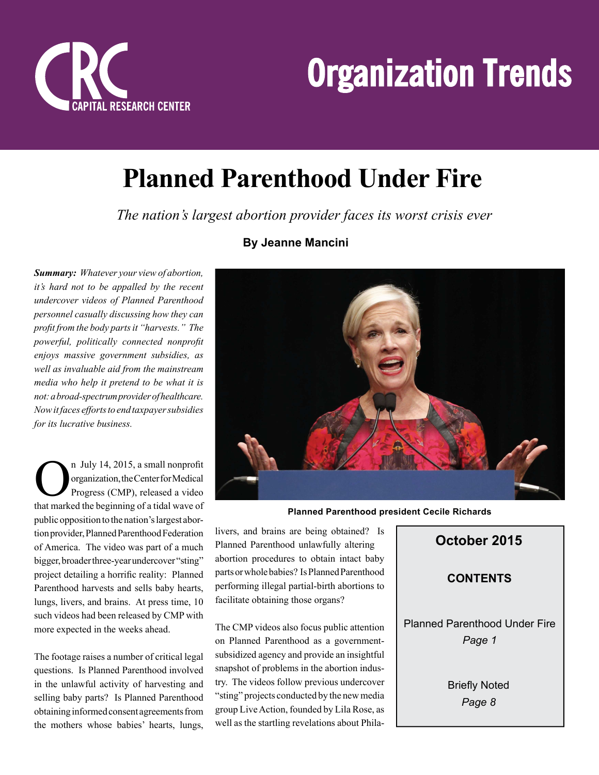



# **Planned Parenthood Under Fire**

 *The nation's largest abortion provider faces its worst crisis ever*

*Summary: Whatever your view of abortion, it's hard not to be appalled by the recent undercover videos of Planned Parenthood personnel casually discussing how they can profi t from the body parts it "harvests." The powerful, politically connected nonprofi t enjoys massive government subsidies, as well as invaluable aid from the mainstream media who help it pretend to be what it is not: a broad-spectrum provider of healthcare. Now it faces efforts to end taxpayer subsidies for its lucrative business.*

<sup>n</sup> July 14, 2015, a small nonprofit<br>organization, the Center for Medical<br>Progress (CMP), released a video<br>that marked the beginning of a tidal wave of n July 14, 2015, a small nonprofit organization, the Center for Medical Progress (CMP), released a video public opposition to the nation's largest abortion provider, Planned Parenthood Federation of America. The video was part of a much bigger, broader three-year undercover "sting" project detailing a horrific reality: Planned Parenthood harvests and sells baby hearts, lungs, livers, and brains. At press time, 10 such videos had been released by CMP with more expected in the weeks ahead.

The footage raises a number of critical legal questions. Is Planned Parenthood involved in the unlawful activity of harvesting and selling baby parts? Is Planned Parenthood obtaining informed consent agreements from the mothers whose babies' hearts, lungs,

#### **By Jeanne Mancini**



**Planned Parenthood president Cecile Richards** 

livers, and brains are being obtained? Is Planned Parenthood unlawfully altering abortion procedures to obtain intact baby parts or whole babies? Is Planned Parenthood performing illegal partial-birth abortions to facilitate obtaining those organs?

The CMP videos also focus public attention on Planned Parenthood as a governmentsubsidized agency and provide an insightful snapshot of problems in the abortion industry. The videos follow previous undercover "sting" projects conducted by the new media group Live Action, founded by Lila Rose, as well as the startling revelations about Phila-

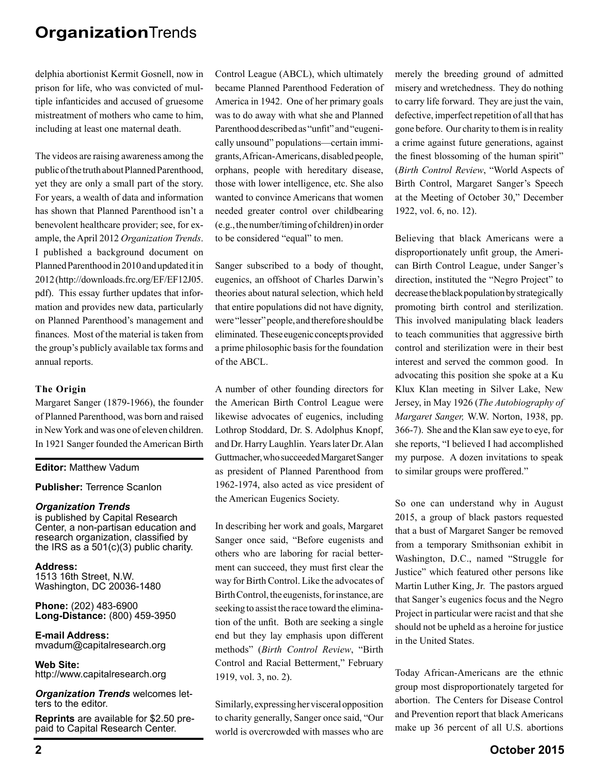delphia abortionist Kermit Gosnell, now in prison for life, who was convicted of multiple infanticides and accused of gruesome mistreatment of mothers who came to him, including at least one maternal death.

The videos are raising awareness among the public of the truth about Planned Parenthood, yet they are only a small part of the story. For years, a wealth of data and information has shown that Planned Parenthood isn't a benevolent healthcare provider; see, for example, the April 2012 *Organization Trends*. I published a background document on Planned Parenthood in 2010 and updated it in 2012 (http://downloads.frc.org/EF/EF12J05. pdf). This essay further updates that information and provides new data, particularly on Planned Parenthood's management and finances. Most of the material is taken from the group's publicly available tax forms and annual reports.

#### **The Origin**

Margaret Sanger (1879-1966), the founder of Planned Parenthood, was born and raised in New York and was one of eleven children. In 1921 Sanger founded the American Birth

#### **Editor:** Matthew Vadum

**Publisher:** Terrence Scanlon

#### *Organization Trends*

is published by Capital Research Center, a non-partisan education and research organization, classified by the IRS as a  $501(c)(3)$  public charity.

**Address:** 1513 16th Street, N.W. Washington, DC 20036-1480

**Phone:** (202) 483-6900 **Long-Distance:** (800) 459-3950

**E-mail Address:** mvadum@capitalresearch.org

**Web Site:** http://www.capitalresearch.org

*Organization Trends* welcomes letters to the editor.

**Reprints** are available for \$2.50 prepaid to Capital Research Center.

Control League (ABCL), which ultimately became Planned Parenthood Federation of America in 1942. One of her primary goals was to do away with what she and Planned Parenthood described as "unfit" and "eugenically unsound" populations—certain immigrants, African-Americans, disabled people, orphans, people with hereditary disease, those with lower intelligence, etc. She also wanted to convince Americans that women needed greater control over childbearing (e.g., the number/timing of children) in order to be considered "equal" to men.

Sanger subscribed to a body of thought, eugenics, an offshoot of Charles Darwin's theories about natural selection, which held that entire populations did not have dignity, were "lesser" people, and therefore should be eliminated. These eugenic concepts provided a prime philosophic basis for the foundation of the ABCL.

A number of other founding directors for the American Birth Control League were likewise advocates of eugenics, including Lothrop Stoddard, Dr. S. Adolphus Knopf, and Dr. Harry Laughlin. Years later Dr. Alan Guttmacher, who succeeded Margaret Sanger as president of Planned Parenthood from 1962-1974, also acted as vice president of the American Eugenics Society.

In describing her work and goals, Margaret Sanger once said, "Before eugenists and others who are laboring for racial betterment can succeed, they must first clear the way for Birth Control. Like the advocates of Birth Control, the eugenists, for instance, are seeking to assist the race toward the elimination of the unfit. Both are seeking a single end but they lay emphasis upon different methods" (*Birth Control Review*, "Birth Control and Racial Betterment," February 1919, vol. 3, no. 2).

Similarly, expressing her visceral opposition to charity generally, Sanger once said, "Our world is overcrowded with masses who are merely the breeding ground of admitted misery and wretchedness. They do nothing to carry life forward. They are just the vain, defective, imperfect repetition of all that has gone before. Our charity to them is in reality a crime against future generations, against the finest blossoming of the human spirit" (*Birth Control Review*, "World Aspects of Birth Control, Margaret Sanger's Speech at the Meeting of October 30," December 1922, vol. 6, no. 12).

Believing that black Americans were a disproportionately unfit group, the American Birth Control League, under Sanger's direction, instituted the "Negro Project" to decrease the black population by strategically promoting birth control and sterilization. This involved manipulating black leaders to teach communities that aggressive birth control and sterilization were in their best interest and served the common good. In advocating this position she spoke at a Ku Klux Klan meeting in Silver Lake, New Jersey, in May 1926 (*The Autobiography of Margaret Sanger,* W.W. Norton, 1938, pp. 366-7). She and the Klan saw eye to eye, for she reports, "I believed I had accomplished my purpose. A dozen invitations to speak to similar groups were proffered."

So one can understand why in August 2015, a group of black pastors requested that a bust of Margaret Sanger be removed from a temporary Smithsonian exhibit in Washington, D.C., named "Struggle for Justice" which featured other persons like Martin Luther King, Jr. The pastors argued that Sanger's eugenics focus and the Negro Project in particular were racist and that she should not be upheld as a heroine for justice in the United States.

Today African-Americans are the ethnic group most disproportionately targeted for abortion. The Centers for Disease Control and Prevention report that black Americans make up 36 percent of all U.S. abortions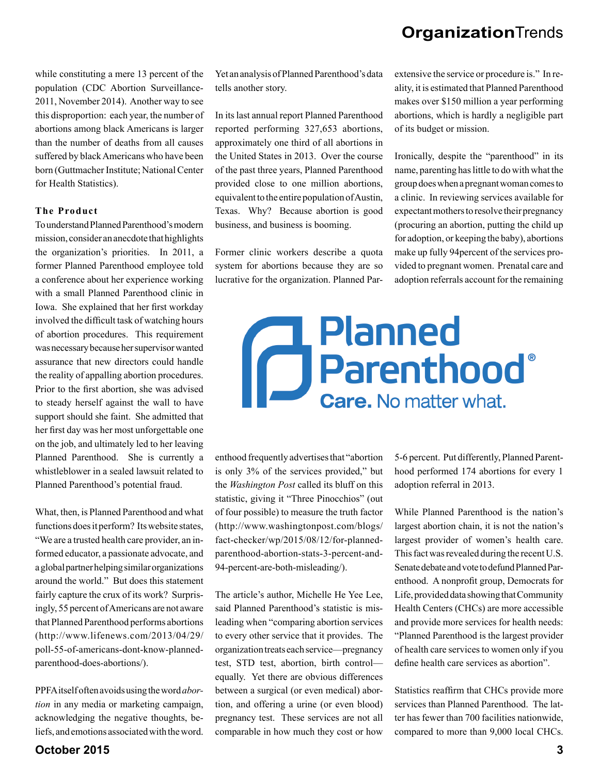while constituting a mere 13 percent of the population (CDC Abortion Surveillance-2011, November 2014). Another way to see this disproportion: each year, the number of abortions among black Americans is larger than the number of deaths from all causes suffered by black Americans who have been born (Guttmacher Institute; National Center for Health Statistics).

#### **The Product**

To understand Planned Parenthood's modern mission, consider an anecdote that highlights the organization's priorities. In 2011, a former Planned Parenthood employee told a conference about her experience working with a small Planned Parenthood clinic in Iowa. She explained that her first workday involved the difficult task of watching hours of abortion procedures. This requirement was necessary because her supervisor wanted assurance that new directors could handle the reality of appalling abortion procedures. Prior to the first abortion, she was advised to steady herself against the wall to have support should she faint. She admitted that her first day was her most unforgettable one on the job, and ultimately led to her leaving Planned Parenthood. She is currently a whistleblower in a sealed lawsuit related to Planned Parenthood's potential fraud.

What, then, is Planned Parenthood and what functions does it perform? Its website states, "We are a trusted health care provider, an informed educator, a passionate advocate, and a global partner helping similar organizations around the world." But does this statement fairly capture the crux of its work? Surprisingly, 55 percent of Americans are not aware that Planned Parenthood performs abortions (http://www.lifenews.com/2013/04/29/ poll-55-of-americans-dont-know-plannedparenthood-does-abortions/).

PPFA itself often avoids using the word *abortion* in any media or marketing campaign, acknowledging the negative thoughts, beliefs, and emotions associated with the word.

Yet an analysis of Planned Parenthood's data tells another story.

In its last annual report Planned Parenthood reported performing 327,653 abortions, approximately one third of all abortions in the United States in 2013. Over the course of the past three years, Planned Parenthood provided close to one million abortions, equivalent to the entire population of Austin, Texas. Why? Because abortion is good business, and business is booming.

Former clinic workers describe a quota system for abortions because they are so lucrative for the organization. Planned Parextensive the service or procedure is." In reality, it is estimated that Planned Parenthood makes over \$150 million a year performing abortions, which is hardly a negligible part of its budget or mission.

Ironically, despite the "parenthood" in its name, parenting has little to do with what the group does when a pregnant woman comes to a clinic. In reviewing services available for expectant mothers to resolve their pregnancy (procuring an abortion, putting the child up for adoption, or keeping the baby), abortions make up fully 94percent of the services provided to pregnant women. Prenatal care and adoption referrals account for the remaining

# **Planned** d Planned<br>de Parenthood **Care.** No matter what.

enthood frequently advertises that "abortion is only 3% of the services provided," but the *Washington Post* called its bluff on this statistic, giving it "Three Pinocchios" (out of four possible) to measure the truth factor (http://www.washingtonpost.com/blogs/ fact-checker/wp/2015/08/12/for-plannedparenthood-abortion-stats-3-percent-and-94-percent-are-both-misleading/).

The article's author, Michelle He Yee Lee, said Planned Parenthood's statistic is misleading when "comparing abortion services to every other service that it provides. The organization treats each service—pregnancy test, STD test, abortion, birth control equally. Yet there are obvious differences between a surgical (or even medical) abortion, and offering a urine (or even blood) pregnancy test. These services are not all comparable in how much they cost or how

5-6 percent. Put differently, Planned Parenthood performed 174 abortions for every 1 adoption referral in 2013.

While Planned Parenthood is the nation's largest abortion chain, it is not the nation's largest provider of women's health care. This fact was revealed during the recent U.S. Senate debate and vote to defund Planned Parenthood. A nonprofit group, Democrats for Life, provided data showing that Community Health Centers (CHCs) are more accessible and provide more services for health needs: "Planned Parenthood is the largest provider of health care services to women only if you define health care services as abortion".

Statistics reaffirm that CHCs provide more services than Planned Parenthood. The latter has fewer than 700 facilities nationwide, compared to more than 9,000 local CHCs.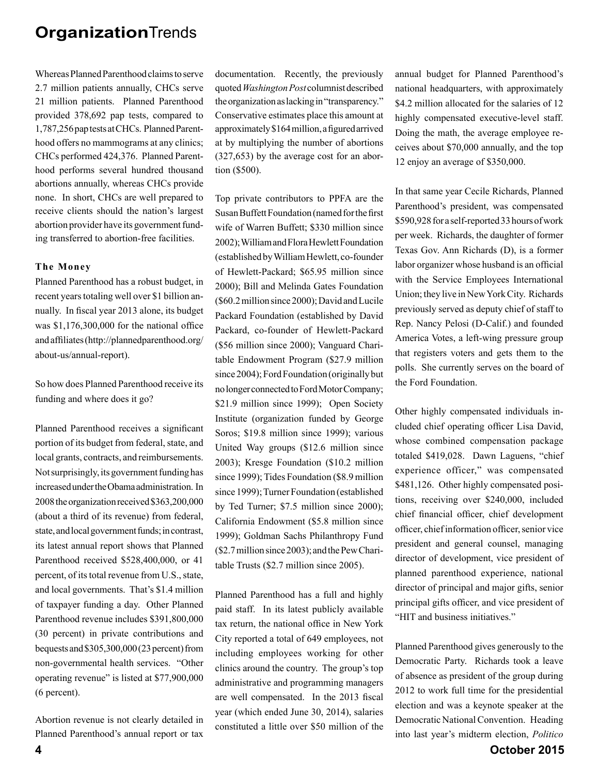Whereas Planned Parenthood claims to serve 2.7 million patients annually, CHCs serve 21 million patients. Planned Parenthood provided 378,692 pap tests, compared to 1,787,256 pap tests at CHCs. Planned Parenthood offers no mammograms at any clinics; CHCs performed 424,376. Planned Parenthood performs several hundred thousand abortions annually, whereas CHCs provide none. In short, CHCs are well prepared to receive clients should the nation's largest abortion provider have its government funding transferred to abortion-free facilities.

#### **The Money**

Planned Parenthood has a robust budget, in recent years totaling well over \$1 billion annually. In fiscal year 2013 alone, its budget was  $$1,176,300,000$  for the national office and affiliates (http://plannedparenthood.org/ about-us/annual-report).

So how does Planned Parenthood receive its funding and where does it go?

Planned Parenthood receives a significant portion of its budget from federal, state, and local grants, contracts, and reimbursements. Not surprisingly, its government funding has increased under the Obama administration. In 2008 the organization received \$363,200,000 (about a third of its revenue) from federal, state, and local government funds; in contrast, its latest annual report shows that Planned Parenthood received \$528,400,000, or 41 percent, of its total revenue from U.S., state, and local governments. That's \$1.4 million of taxpayer funding a day. Other Planned Parenthood revenue includes \$391,800,000 (30 percent) in private contributions and bequests and \$305,300,000 (23 percent) from non-governmental health services. "Other operating revenue" is listed at \$77,900,000 (6 percent).

Abortion revenue is not clearly detailed in Planned Parenthood's annual report or tax documentation. Recently, the previously quoted *Washington Post* columnist described the organization as lacking in "transparency." Conservative estimates place this amount at approximately \$164 million, a figured arrived at by multiplying the number of abortions (327,653) by the average cost for an abortion (\$500).

Top private contributors to PPFA are the Susan Buffett Foundation (named for the first wife of Warren Buffett; \$330 million since 2002); William and Flora Hewlett Foundation (established by William Hewlett, co-founder of Hewlett-Packard; \$65.95 million since 2000); Bill and Melinda Gates Foundation (\$60.2 million since 2000); David and Lucile Packard Foundation (established by David Packard, co-founder of Hewlett-Packard (\$56 million since 2000); Vanguard Charitable Endowment Program (\$27.9 million since 2004); Ford Foundation (originally but no longer connected to Ford Motor Company; \$21.9 million since 1999); Open Society Institute (organization funded by George Soros; \$19.8 million since 1999); various United Way groups (\$12.6 million since 2003); Kresge Foundation (\$10.2 million since 1999); Tides Foundation (\$8.9 million since 1999); Turner Foundation (established by Ted Turner; \$7.5 million since 2000); California Endowment (\$5.8 million since 1999); Goldman Sachs Philanthropy Fund (\$2.7 million since 2003); and the Pew Charitable Trusts (\$2.7 million since 2005).

Planned Parenthood has a full and highly paid staff. In its latest publicly available tax return, the national office in New York City reported a total of 649 employees, not including employees working for other clinics around the country. The group's top administrative and programming managers are well compensated. In the 2013 fiscal year (which ended June 30, 2014), salaries constituted a little over \$50 million of the annual budget for Planned Parenthood's national headquarters, with approximately \$4.2 million allocated for the salaries of 12 highly compensated executive-level staff. Doing the math, the average employee receives about \$70,000 annually, and the top 12 enjoy an average of \$350,000.

In that same year Cecile Richards, Planned Parenthood's president, was compensated \$590,928 for a self-reported 33 hours of work per week. Richards, the daughter of former Texas Gov. Ann Richards (D), is a former labor organizer whose husband is an official with the Service Employees International Union; they live in New York City. Richards previously served as deputy chief of staff to Rep. Nancy Pelosi (D-Calif.) and founded America Votes, a left-wing pressure group that registers voters and gets them to the polls. She currently serves on the board of the Ford Foundation.

Other highly compensated individuals included chief operating officer Lisa David, whose combined compensation package totaled \$419,028. Dawn Laguens, "chief experience officer," was compensated \$481,126. Other highly compensated positions, receiving over \$240,000, included chief financial officer, chief development officer, chief information officer, senior vice president and general counsel, managing director of development, vice president of planned parenthood experience, national director of principal and major gifts, senior principal gifts officer, and vice president of "HIT and business initiatives."

Planned Parenthood gives generously to the Democratic Party. Richards took a leave of absence as president of the group during 2012 to work full time for the presidential election and was a keynote speaker at the Democratic National Convention. Heading into last year's midterm election, *Politico*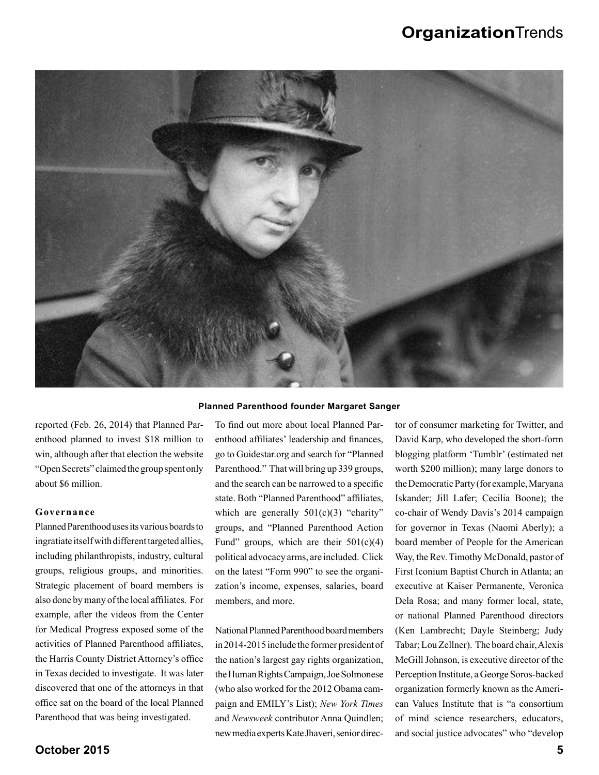

reported (Feb. 26, 2014) that Planned Parenthood planned to invest \$18 million to win, although after that election the website "Open Secrets" claimed the group spent only about \$6 million.

#### **Governance**

Planned Parenthood uses its various boards to ingratiate itself with different targeted allies, including philanthropists, industry, cultural groups, religious groups, and minorities. Strategic placement of board members is also done by many of the local affiliates. For example, after the videos from the Center for Medical Progress exposed some of the activities of Planned Parenthood affiliates. the Harris County District Attorney's office in Texas decided to investigate. It was later discovered that one of the attorneys in that office sat on the board of the local Planned Parenthood that was being investigated.

#### **Planned Parenthood founder Margaret Sanger**

To find out more about local Planned Parenthood affiliates' leadership and finances, go to Guidestar.org and search for "Planned Parenthood." That will bring up 339 groups, and the search can be narrowed to a specific state. Both "Planned Parenthood" affiliates, which are generally  $501(c)(3)$  "charity" groups, and "Planned Parenthood Action Fund" groups, which are their  $501(c)(4)$ political advocacy arms, are included. Click on the latest "Form 990" to see the organization's income, expenses, salaries, board members, and more.

National Planned Parenthood board members in 2014-2015 include the former president of the nation's largest gay rights organization, the Human Rights Campaign, Joe Solmonese (who also worked for the 2012 Obama campaign and EMILY's List); *New York Times* and *Newsweek* contributor Anna Quindlen; new media experts Kate Jhaveri, senior director of consumer marketing for Twitter, and David Karp, who developed the short-form blogging platform 'Tumblr' (estimated net worth \$200 million); many large donors to the Democratic Party (for example, Maryana Iskander; Jill Lafer; Cecilia Boone); the co-chair of Wendy Davis's 2014 campaign for governor in Texas (Naomi Aberly); a board member of People for the American Way, the Rev. Timothy McDonald, pastor of First Iconium Baptist Church in Atlanta; an executive at Kaiser Permanente, Veronica Dela Rosa; and many former local, state, or national Planned Parenthood directors (Ken Lambrecht; Dayle Steinberg; Judy Tabar; Lou Zellner). The board chair, Alexis McGill Johnson, is executive director of the Perception Institute, a George Soros-backed organization formerly known as the American Values Institute that is "a consortium of mind science researchers, educators, and social justice advocates" who "develop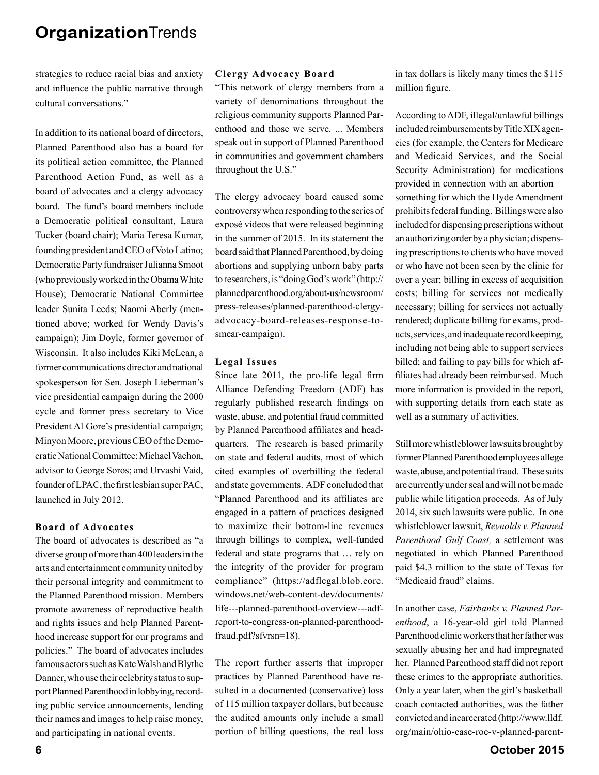strategies to reduce racial bias and anxiety and influence the public narrative through cultural conversations."

In addition to its national board of directors, Planned Parenthood also has a board for its political action committee, the Planned Parenthood Action Fund, as well as a board of advocates and a clergy advocacy board. The fund's board members include a Democratic political consultant, Laura Tucker (board chair); Maria Teresa Kumar, founding president and CEO of Voto Latino; Democratic Party fundraiser Julianna Smoot (who previously worked in the Obama White House); Democratic National Committee leader Sunita Leeds; Naomi Aberly (mentioned above; worked for Wendy Davis's campaign); Jim Doyle, former governor of Wisconsin. It also includes Kiki McLean, a former communications director and national spokesperson for Sen. Joseph Lieberman's vice presidential campaign during the 2000 cycle and former press secretary to Vice President Al Gore's presidential campaign; Minyon Moore, previous CEO of the Democratic National Committee; Michael Vachon, advisor to George Soros; and Urvashi Vaid, founder of LPAC, the first lesbian super PAC, launched in July 2012.

#### **Board of Advocates**

The board of advocates is described as "a diverse group of more than 400 leaders in the arts and entertainment community united by their personal integrity and commitment to the Planned Parenthood mission. Members promote awareness of reproductive health and rights issues and help Planned Parenthood increase support for our programs and policies." The board of advocates includes famous actors such as Kate Walsh and Blythe Danner, who use their celebrity status to support Planned Parenthood in lobbying, recording public service announcements, lending their names and images to help raise money, and participating in national events.

#### **Clergy Advocacy Board**

"This network of clergy members from a variety of denominations throughout the religious community supports Planned Parenthood and those we serve. ... Members speak out in support of Planned Parenthood in communities and government chambers throughout the U.S."

The clergy advocacy board caused some controversy when responding to the series of exposé videos that were released beginning in the summer of 2015. In its statement the board said that Planned Parenthood, by doing abortions and supplying unborn baby parts to researchers, is "doing God's work" (http:// plannedparenthood.org/about-us/newsroom/ press-releases/planned-parenthood-clergyadvocacy-board-releases-response-tosmear-campaign).

#### **Legal Issues**

Since late 2011, the pro-life legal firm Alliance Defending Freedom (ADF) has regularly published research findings on waste, abuse, and potential fraud committed by Planned Parenthood affiliates and headquarters. The research is based primarily on state and federal audits, most of which cited examples of overbilling the federal and state governments. ADF concluded that "Planned Parenthood and its affiliates are engaged in a pattern of practices designed to maximize their bottom-line revenues through billings to complex, well-funded federal and state programs that … rely on the integrity of the provider for program compliance" (https://adflegal.blob.core. windows.net/web-content-dev/documents/ life---planned-parenthood-overview---adfreport-to-congress-on-planned-parenthoodfraud.pdf?sfvrsn=18).

The report further asserts that improper practices by Planned Parenthood have resulted in a documented (conservative) loss of 115 million taxpayer dollars, but because the audited amounts only include a small portion of billing questions, the real loss in tax dollars is likely many times the \$115 million figure.

According to ADF, illegal/unlawful billings included reimbursements by Title XIX agencies (for example, the Centers for Medicare and Medicaid Services, and the Social Security Administration) for medications provided in connection with an abortion something for which the Hyde Amendment prohibits federal funding. Billings were also included for dispensing prescriptions without an authorizing order by a physician; dispensing prescriptions to clients who have moved or who have not been seen by the clinic for over a year; billing in excess of acquisition costs; billing for services not medically necessary; billing for services not actually rendered; duplicate billing for exams, products, services, and inadequate record keeping, including not being able to support services billed; and failing to pay bills for which affiliates had already been reimbursed. Much more information is provided in the report, with supporting details from each state as well as a summary of activities.

Still more whistleblower lawsuits brought by former Planned Parenthood employees allege waste, abuse, and potential fraud. These suits are currently under seal and will not be made public while litigation proceeds. As of July 2014, six such lawsuits were public. In one whistleblower lawsuit, *Reynolds v. Planned Parenthood Gulf Coast,* a settlement was negotiated in which Planned Parenthood paid \$4.3 million to the state of Texas for "Medicaid fraud" claims.

In another case, *Fairbanks v. Planned Parenthood*, a 16-year-old girl told Planned Parenthood clinic workers that her father was sexually abusing her and had impregnated her. Planned Parenthood staff did not report these crimes to the appropriate authorities. Only a year later, when the girl's basketball coach contacted authorities, was the father convicted and incarcerated (http://www.lldf. org/main/ohio-case-roe-v-planned-parent-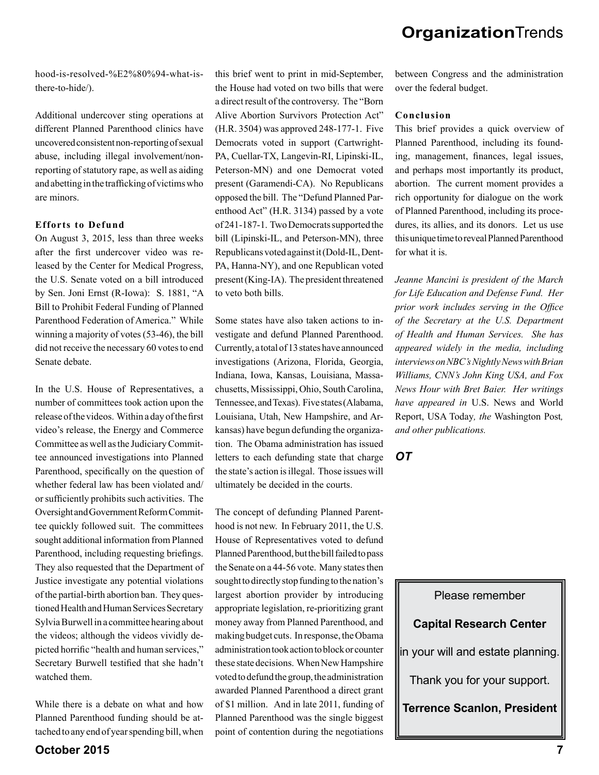hood-is-resolved-%E2%80%94-what-isthere-to-hide/).

Additional undercover sting operations at different Planned Parenthood clinics have uncovered consistent non-reporting of sexual abuse, including illegal involvement/nonreporting of statutory rape, as well as aiding and abetting in the trafficking of victims who are minors.

#### **Efforts to Defund**

On August 3, 2015, less than three weeks after the first undercover video was released by the Center for Medical Progress, the U.S. Senate voted on a bill introduced by Sen. Joni Ernst (R-Iowa): S. 1881, "A Bill to Prohibit Federal Funding of Planned Parenthood Federation of America." While winning a majority of votes (53-46), the bill did not receive the necessary 60 votes to end Senate debate.

In the U.S. House of Representatives, a number of committees took action upon the release of the videos. Within a day of the first video's release, the Energy and Commerce Committee as well as the Judiciary Committee announced investigations into Planned Parenthood, specifically on the question of whether federal law has been violated and/ or sufficiently prohibits such activities. The Oversight and Government Reform Committee quickly followed suit. The committees sought additional information from Planned Parenthood, including requesting briefings. They also requested that the Department of Justice investigate any potential violations of the partial-birth abortion ban. They questioned Health and Human Services Secretary Sylvia Burwell in a committee hearing about the videos; although the videos vividly depicted horrific "health and human services," Secretary Burwell testified that she hadn't watched them.

While there is a debate on what and how Planned Parenthood funding should be attached to any end of year spending bill, when

this brief went to print in mid-September, the House had voted on two bills that were a direct result of the controversy. The "Born Alive Abortion Survivors Protection Act" (H.R. 3504) was approved 248-177-1. Five Democrats voted in support (Cartwright-PA, Cuellar-TX, Langevin-RI, Lipinski-IL, Peterson-MN) and one Democrat voted present (Garamendi-CA). No Republicans opposed the bill. The "Defund Planned Parenthood Act" (H.R. 3134) passed by a vote of 241-187-1. Two Democrats supported the bill (Lipinski-IL, and Peterson-MN), three Republicans voted against it (Dold-IL, Dent-PA, Hanna-NY), and one Republican voted present (King-IA). The president threatened to veto both bills.

Some states have also taken actions to investigate and defund Planned Parenthood. Currently, a total of 13 states have announced investigations (Arizona, Florida, Georgia, Indiana, Iowa, Kansas, Louisiana, Massachusetts, Mississippi, Ohio, South Carolina, Tennessee, and Texas). Five states (Alabama, Louisiana, Utah, New Hampshire, and Arkansas) have begun defunding the organization. The Obama administration has issued letters to each defunding state that charge the state's action is illegal. Those issues will ultimately be decided in the courts.

The concept of defunding Planned Parenthood is not new. In February 2011, the U.S. House of Representatives voted to defund Planned Parenthood, but the bill failed to pass the Senate on a 44-56 vote. Many states then sought to directly stop funding to the nation's largest abortion provider by introducing appropriate legislation, re-prioritizing grant money away from Planned Parenthood, and making budget cuts. In response, the Obama administration took action to block or counter these state decisions. When New Hampshire voted to defund the group, the administration awarded Planned Parenthood a direct grant of \$1 million. And in late 2011, funding of Planned Parenthood was the single biggest point of contention during the negotiations between Congress and the administration over the federal budget.

#### **Conclusion**

This brief provides a quick overview of Planned Parenthood, including its founding, management, finances, legal issues, and perhaps most importantly its product, abortion. The current moment provides a rich opportunity for dialogue on the work of Planned Parenthood, including its procedures, its allies, and its donors. Let us use this unique time to reveal Planned Parenthood for what it is.

*Jeanne Mancini is president of the March for Life Education and Defense Fund. Her prior work includes serving in the Office of the Secretary at the U.S. Department of Health and Human Services. She has appeared widely in the media, including interviews on NBC's Nightly News with Brian Williams, CNN's John King USA, and Fox News Hour with Bret Baier. Her writings have appeared in* U.S. News and World Report, USA Today*, the* Washington Post*, and other publications.*

*OT*